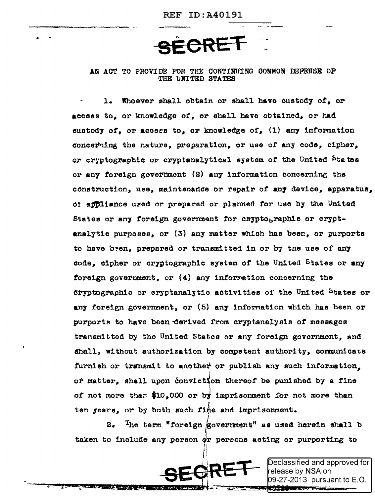## AN ACT TO PROVIDE FOR THE CONTINUING COMMON DEFENSE OF THE UNITED STATES

Whoever shall obtain or shall have custody of. or access to, or knowledge of, or shall have obtained, or had eustody of, or access to, or knowledge of, (1) any information concerting the nature, preparation, or use of any code, cipher, or cryptographic or cryptanalytical system of the United <sup>States</sup> or any foreign government (2) any information concerning the construction, use, maintenance or repair of any device, apparatus. of appliance used or prepared or planned for use by the United States or any foreign government for crypto, raphic or cryptanalytic purposes, or (3) any matter which has been, or purports to have been, prepared or transmitted in or by the use of any code, cipher or cryptographic system of the United States or any foreign government, or  $(4)$  any information concerning the dryptographic or cryptanalytic activities of the United States or any foreign government, or (5) any information which has been or purports to have been derived from cryptanalysis of messages transmitted by the United States or any foreign government, and shall, without authorization by competent authority, communicate furnish or transmit to another or publish any such information. of matter, shall upon conviction thereof be punished by a fine of not more than \$10,000 or by imprisonment for not more than ten years, or by both such fine and imprisonment.

The term "foreign government" as used herein shall b  $2$ taken to include any person or persons acting or purporting to



)eclassified and approved for| elease by NSA on 09-27-2013 pursuant to E.O.